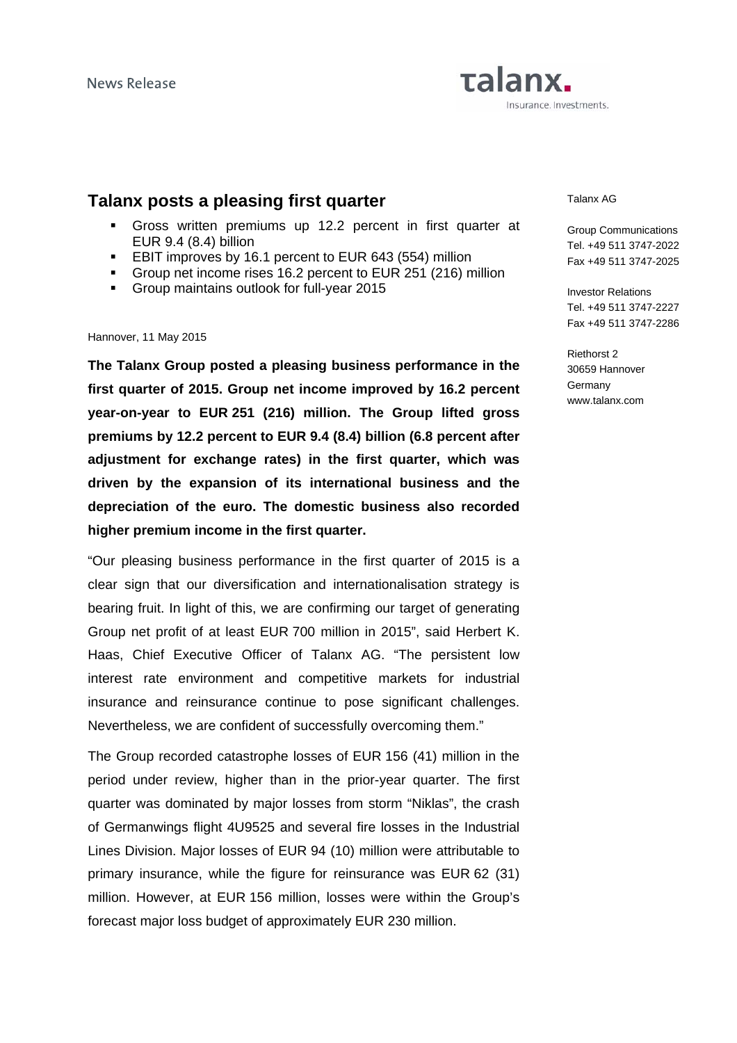# Talanx. Insurance. Investments.

# **Talanx posts a pleasing first quarter**

- Gross written premiums up 12.2 percent in first quarter at EUR 9.4 (8.4) billion
- **EBIT improves by 16.1 percent to EUR 643 (554) million**
- Group net income rises 16.2 percent to EUR 251 (216) million
- Group maintains outlook for full-year 2015

#### Hannover, 11 May 2015

**The Talanx Group posted a pleasing business performance in the first quarter of 2015. Group net income improved by 16.2 percent year-on-year to EUR 251 (216) million. The Group lifted gross premiums by 12.2 percent to EUR 9.4 (8.4) billion (6.8 percent after adjustment for exchange rates) in the first quarter, which was driven by the expansion of its international business and the depreciation of the euro. The domestic business also recorded higher premium income in the first quarter.** 

"Our pleasing business performance in the first quarter of 2015 is a clear sign that our diversification and internationalisation strategy is bearing fruit. In light of this, we are confirming our target of generating Group net profit of at least EUR 700 million in 2015", said Herbert K. Haas, Chief Executive Officer of Talanx AG. "The persistent low interest rate environment and competitive markets for industrial insurance and reinsurance continue to pose significant challenges. Nevertheless, we are confident of successfully overcoming them."

The Group recorded catastrophe losses of EUR 156 (41) million in the period under review, higher than in the prior-year quarter. The first quarter was dominated by major losses from storm "Niklas", the crash of Germanwings flight 4U9525 and several fire losses in the Industrial Lines Division. Major losses of EUR 94 (10) million were attributable to primary insurance, while the figure for reinsurance was EUR 62 (31) million. However, at EUR 156 million, losses were within the Group's forecast major loss budget of approximately EUR 230 million.

#### Talanx AG

Group Communications Tel. +49 511 3747-2022 Fax +49 511 3747-2025

Investor Relations Tel. +49 511 3747-2227 Fax +49 511 3747-2286

Riethorst 2 30659 Hannover **Germany** www.talanx.com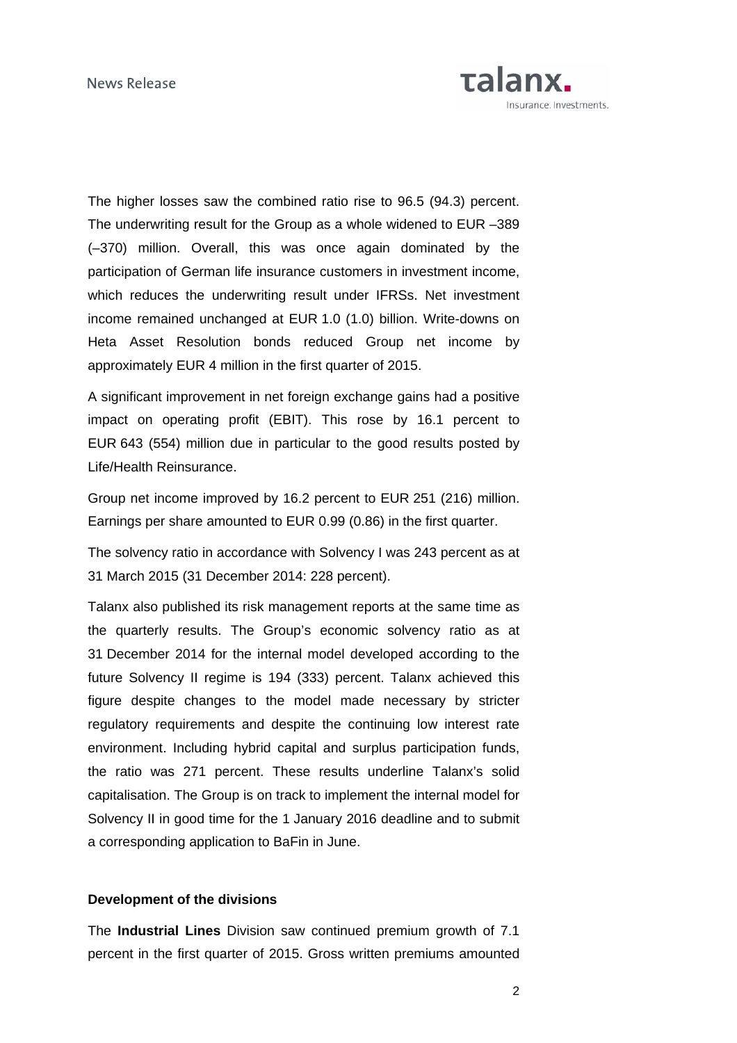

The higher losses saw the combined ratio rise to 96.5 (94.3) percent. The underwriting result for the Group as a whole widened to EUR –389 (–370) million. Overall, this was once again dominated by the participation of German life insurance customers in investment income, which reduces the underwriting result under IFRSs. Net investment income remained unchanged at EUR 1.0 (1.0) billion. Write-downs on Heta Asset Resolution bonds reduced Group net income by approximately EUR 4 million in the first quarter of 2015.

A significant improvement in net foreign exchange gains had a positive impact on operating profit (EBIT). This rose by 16.1 percent to EUR 643 (554) million due in particular to the good results posted by Life/Health Reinsurance.

Group net income improved by 16.2 percent to EUR 251 (216) million. Earnings per share amounted to EUR 0.99 (0.86) in the first quarter.

The solvency ratio in accordance with Solvency I was 243 percent as at 31 March 2015 (31 December 2014: 228 percent).

Talanx also published its risk management reports at the same time as the quarterly results. The Group's economic solvency ratio as at 31 December 2014 for the internal model developed according to the future Solvency II regime is 194 (333) percent. Talanx achieved this figure despite changes to the model made necessary by stricter regulatory requirements and despite the continuing low interest rate environment. Including hybrid capital and surplus participation funds, the ratio was 271 percent. These results underline Talanx's solid capitalisation. The Group is on track to implement the internal model for Solvency II in good time for the 1 January 2016 deadline and to submit a corresponding application to BaFin in June.

# **Development of the divisions**

The **Industrial Lines** Division saw continued premium growth of 7.1 percent in the first quarter of 2015. Gross written premiums amounted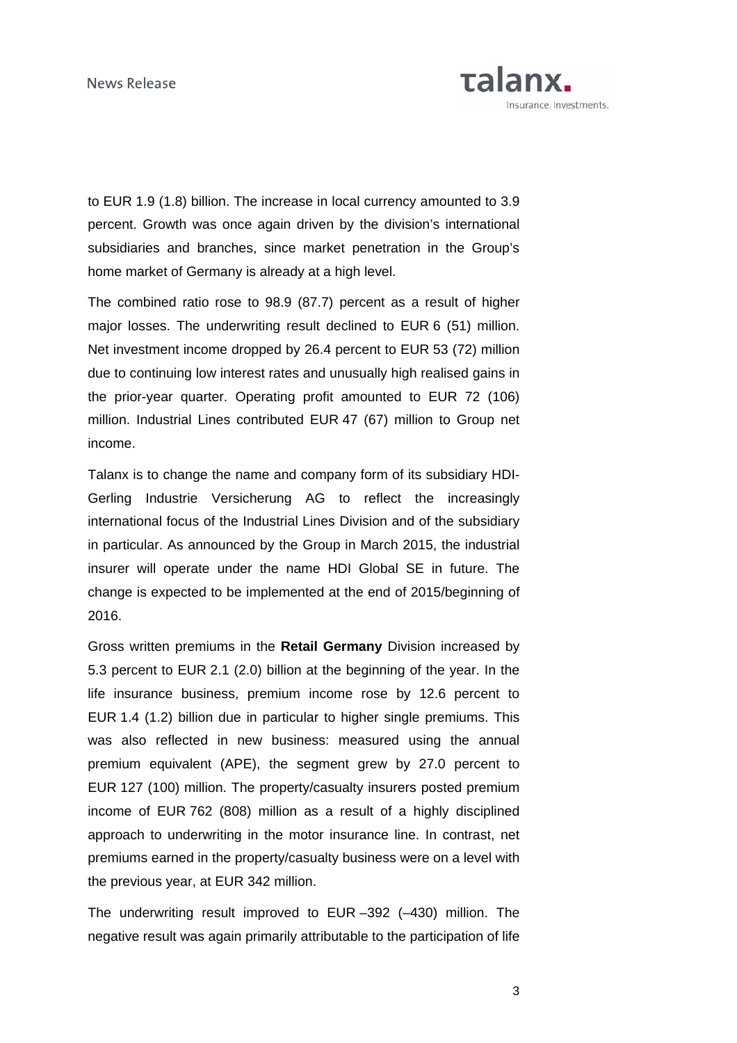

to EUR 1.9 (1.8) billion. The increase in local currency amounted to 3.9 percent. Growth was once again driven by the division's international subsidiaries and branches, since market penetration in the Group's home market of Germany is already at a high level.

The combined ratio rose to 98.9 (87.7) percent as a result of higher major losses. The underwriting result declined to EUR 6 (51) million. Net investment income dropped by 26.4 percent to EUR 53 (72) million due to continuing low interest rates and unusually high realised gains in the prior-year quarter. Operating profit amounted to EUR 72 (106) million. Industrial Lines contributed EUR 47 (67) million to Group net income.

Talanx is to change the name and company form of its subsidiary HDI-Gerling Industrie Versicherung AG to reflect the increasingly international focus of the Industrial Lines Division and of the subsidiary in particular. As announced by the Group in March 2015, the industrial insurer will operate under the name HDI Global SE in future. The change is expected to be implemented at the end of 2015/beginning of 2016.

Gross written premiums in the **Retail Germany** Division increased by 5.3 percent to EUR 2.1 (2.0) billion at the beginning of the year. In the life insurance business, premium income rose by 12.6 percent to EUR 1.4 (1.2) billion due in particular to higher single premiums. This was also reflected in new business: measured using the annual premium equivalent (APE), the segment grew by 27.0 percent to EUR 127 (100) million. The property/casualty insurers posted premium income of EUR 762 (808) million as a result of a highly disciplined approach to underwriting in the motor insurance line. In contrast, net premiums earned in the property/casualty business were on a level with the previous year, at EUR 342 million.

The underwriting result improved to EUR –392 (–430) million. The negative result was again primarily attributable to the participation of life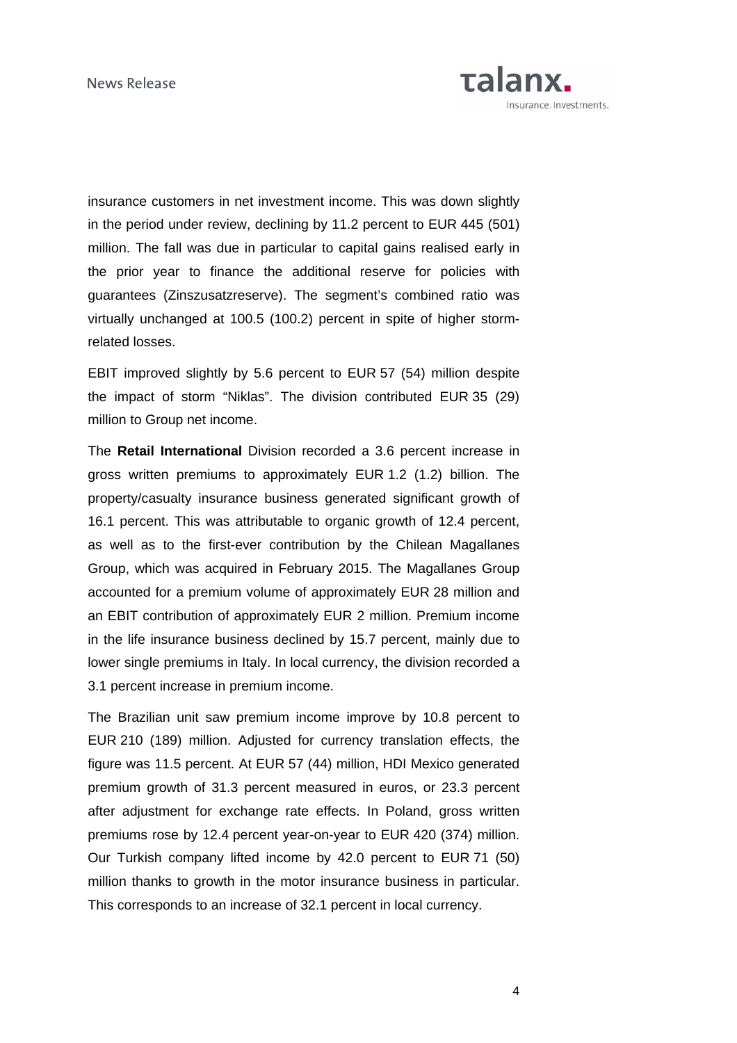

insurance customers in net investment income. This was down slightly in the period under review, declining by 11.2 percent to EUR 445 (501) million. The fall was due in particular to capital gains realised early in the prior year to finance the additional reserve for policies with guarantees (Zinszusatzreserve). The segment's combined ratio was virtually unchanged at 100.5 (100.2) percent in spite of higher stormrelated losses.

EBIT improved slightly by 5.6 percent to EUR 57 (54) million despite the impact of storm "Niklas". The division contributed EUR 35 (29) million to Group net income.

The **Retail International** Division recorded a 3.6 percent increase in gross written premiums to approximately EUR 1.2 (1.2) billion. The property/casualty insurance business generated significant growth of 16.1 percent. This was attributable to organic growth of 12.4 percent, as well as to the first-ever contribution by the Chilean Magallanes Group, which was acquired in February 2015. The Magallanes Group accounted for a premium volume of approximately EUR 28 million and an EBIT contribution of approximately EUR 2 million. Premium income in the life insurance business declined by 15.7 percent, mainly due to lower single premiums in Italy. In local currency, the division recorded a 3.1 percent increase in premium income.

The Brazilian unit saw premium income improve by 10.8 percent to EUR 210 (189) million. Adjusted for currency translation effects, the figure was 11.5 percent. At EUR 57 (44) million, HDI Mexico generated premium growth of 31.3 percent measured in euros, or 23.3 percent after adjustment for exchange rate effects. In Poland, gross written premiums rose by 12.4 percent year-on-year to EUR 420 (374) million. Our Turkish company lifted income by 42.0 percent to EUR 71 (50) million thanks to growth in the motor insurance business in particular. This corresponds to an increase of 32.1 percent in local currency.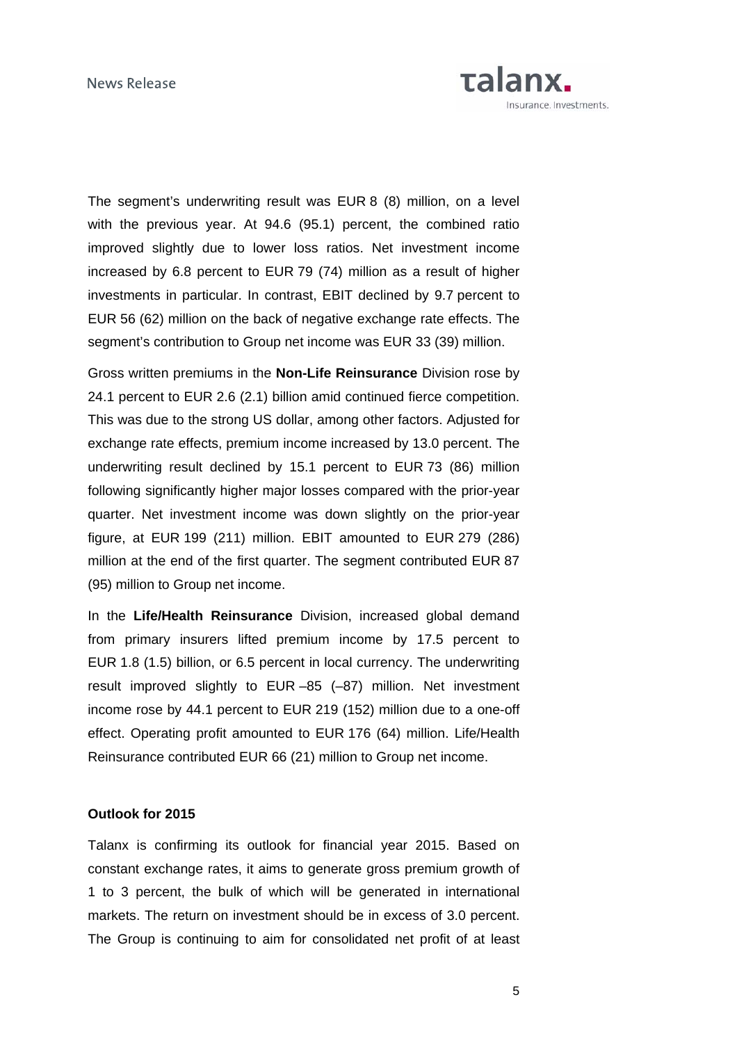

The segment's underwriting result was EUR 8 (8) million, on a level with the previous year. At 94.6 (95.1) percent, the combined ratio improved slightly due to lower loss ratios. Net investment income increased by 6.8 percent to EUR 79 (74) million as a result of higher investments in particular. In contrast, EBIT declined by 9.7 percent to EUR 56 (62) million on the back of negative exchange rate effects. The segment's contribution to Group net income was EUR 33 (39) million.

Gross written premiums in the **Non-Life Reinsurance** Division rose by 24.1 percent to EUR 2.6 (2.1) billion amid continued fierce competition. This was due to the strong US dollar, among other factors. Adjusted for exchange rate effects, premium income increased by 13.0 percent. The underwriting result declined by 15.1 percent to EUR 73 (86) million following significantly higher major losses compared with the prior-year quarter. Net investment income was down slightly on the prior-year figure, at EUR 199 (211) million. EBIT amounted to EUR 279 (286) million at the end of the first quarter. The segment contributed EUR 87 (95) million to Group net income.

In the **Life/Health Reinsurance** Division, increased global demand from primary insurers lifted premium income by 17.5 percent to EUR 1.8 (1.5) billion, or 6.5 percent in local currency. The underwriting result improved slightly to EUR –85 (–87) million. Net investment income rose by 44.1 percent to EUR 219 (152) million due to a one-off effect. Operating profit amounted to EUR 176 (64) million. Life/Health Reinsurance contributed EUR 66 (21) million to Group net income.

# **Outlook for 2015**

Talanx is confirming its outlook for financial year 2015. Based on constant exchange rates, it aims to generate gross premium growth of 1 to 3 percent, the bulk of which will be generated in international markets. The return on investment should be in excess of 3.0 percent. The Group is continuing to aim for consolidated net profit of at least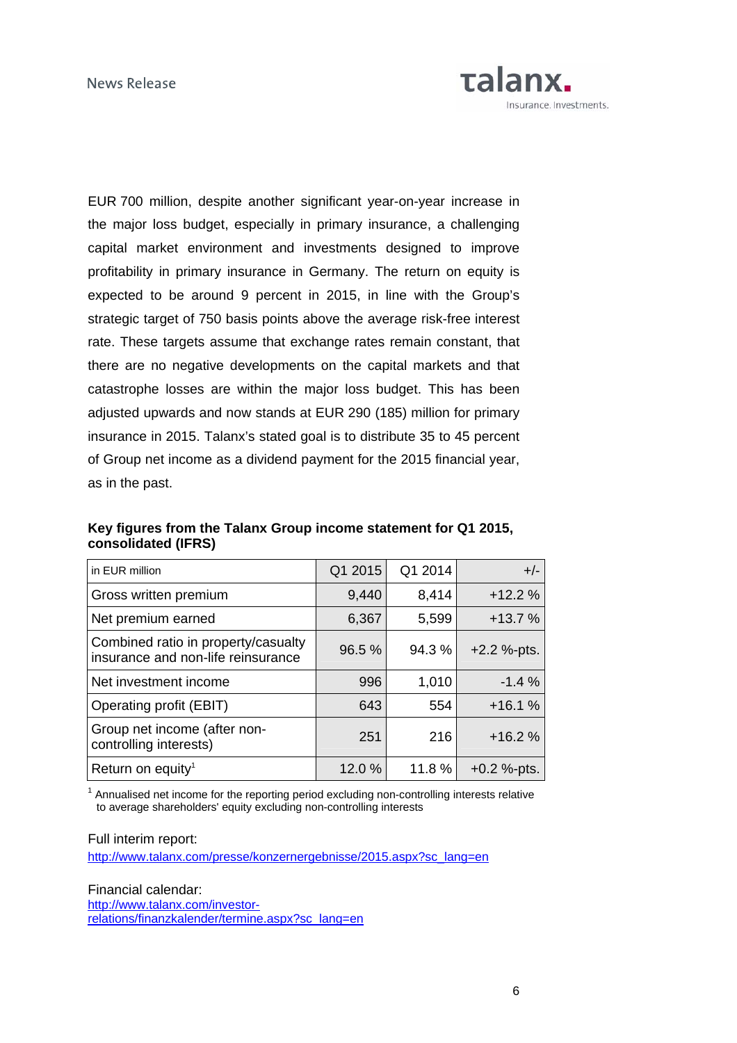

EUR 700 million, despite another significant year-on-year increase in the major loss budget, especially in primary insurance, a challenging capital market environment and investments designed to improve profitability in primary insurance in Germany. The return on equity is expected to be around 9 percent in 2015, in line with the Group's strategic target of 750 basis points above the average risk-free interest rate. These targets assume that exchange rates remain constant, that there are no negative developments on the capital markets and that catastrophe losses are within the major loss budget. This has been adjusted upwards and now stands at EUR 290 (185) million for primary insurance in 2015. Talanx's stated goal is to distribute 35 to 45 percent of Group net income as a dividend payment for the 2015 financial year, as in the past.

| in EUR million                                                            | Q1 2015 | Q1 2014 | $+/-$         |
|---------------------------------------------------------------------------|---------|---------|---------------|
| Gross written premium                                                     | 9,440   | 8,414   | $+12.2%$      |
| Net premium earned                                                        | 6,367   | 5,599   | $+13.7%$      |
| Combined ratio in property/casualty<br>insurance and non-life reinsurance | 96.5 %  | 94.3 %  | $+2.2$ %-pts. |
| Net investment income                                                     | 996     | 1,010   | $-1.4%$       |
| Operating profit (EBIT)                                                   | 643     | 554     | $+16.1%$      |
| Group net income (after non-<br>controlling interests)                    | 251     | 216     | $+16.2%$      |
| Return on equity <sup>1</sup>                                             | 12.0 %  | 11.8 %  | $+0.2$ %-pts. |

**Key figures from the Talanx Group income statement for Q1 2015, consolidated (IFRS)** 

<sup>1</sup> Annualised net income for the reporting period excluding non-controlling interests relative to average shareholders' equity excluding non-controlling interests

Full interim report:

[http://www.talanx.com/presse/konzernergebnisse/2015.aspx?sc\\_lang=en](http://www.talanx.com/presse/konzernergebnisse/2015.aspx?sc_lang=en) 

Financial calendar: [http://www.talanx.com/investor](http://www.talanx.com/investor-relations/finanzkalender/termine.aspx?sc_lang=en)[relations/finanzkalender/termine.aspx?sc\\_lang=en](http://www.talanx.com/investor-relations/finanzkalender/termine.aspx?sc_lang=en)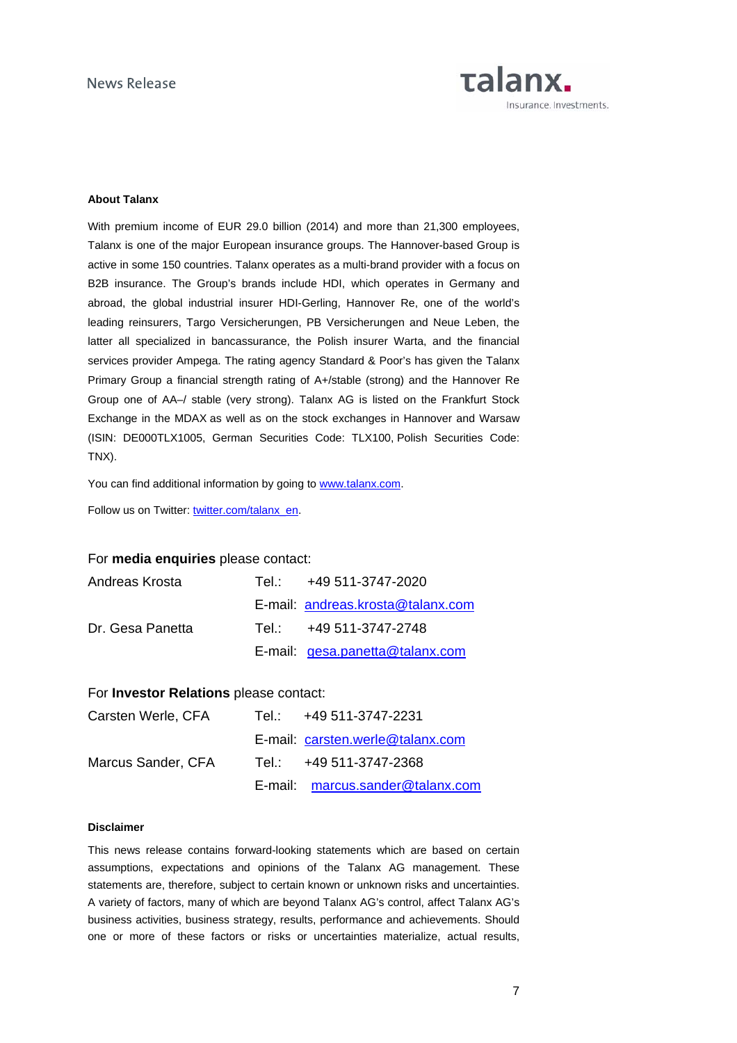

# **About Talanx**

With premium income of EUR 29.0 billion (2014) and more than 21,300 employees, Talanx is one of the major European insurance groups. The Hannover-based Group is active in some 150 countries. Talanx operates as a multi-brand provider with a focus on B2B insurance. The Group's brands include HDI, which operates in Germany and abroad, the global industrial insurer HDI-Gerling, Hannover Re, one of the world's leading reinsurers, Targo Versicherungen, PB Versicherungen and Neue Leben, the latter all specialized in bancassurance, the Polish insurer Warta, and the financial services provider Ampega. The rating agency Standard & Poor's has given the Talanx Primary Group a financial strength rating of A+/stable (strong) and the Hannover Re Group one of AA–/ stable (very strong). Talanx AG is listed on the Frankfurt Stock Exchange in the MDAX as well as on the stock exchanges in Hannover and Warsaw (ISIN: DE000TLX1005, German Securities Code: TLX100, Polish Securities Code: TNX).

You can find additional information by going to [www.talanx.com.](http://www.talanx.com/?sc_lang=en)

Follow us on Twitter: [twitter.com/talanx\\_en.](https://twitter.com/talanx_en)

## For **media enquiries** please contact:

| Andreas Krosta   | Tel.: +49 511-3747-2020           |
|------------------|-----------------------------------|
|                  | E-mail: andreas.krosta@talanx.com |
| Dr. Gesa Panetta | Tel.: $+49.511 - 3747 - 2748$     |
|                  | E-mail: $gesa.panetta@talanx.com$ |

### For **Investor Relations** please contact:

| Carsten Werle, CFA | Tel.: +49 511-3747-2231          |
|--------------------|----------------------------------|
|                    | E-mail: carsten.werle@talanx.com |
| Marcus Sander, CFA | Tel.: +49 511-3747-2368          |
|                    | E-mail: marcus.sander@talanx.com |

#### **Disclaimer**

This news release contains forward-looking statements which are based on certain assumptions, expectations and opinions of the Talanx AG management. These statements are, therefore, subject to certain known or unknown risks and uncertainties. A variety of factors, many of which are beyond Talanx AG's control, affect Talanx AG's business activities, business strategy, results, performance and achievements. Should one or more of these factors or risks or uncertainties materialize, actual results,